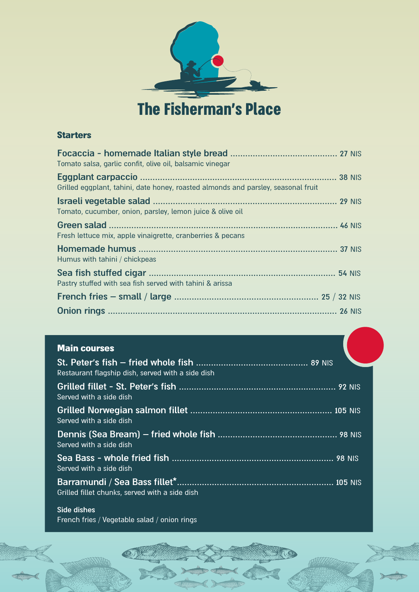

**The Fisherman's Place** 

### **Starters**

| Tomato salsa, garlic confit, olive oil, balsamic vinegar                          |  |
|-----------------------------------------------------------------------------------|--|
| Grilled eggplant, tahini, date honey, roasted almonds and parsley, seasonal fruit |  |
| Tomato, cucumber, onion, parsley, lemon juice & olive oil                         |  |
| Fresh lettuce mix, apple vinaigrette, cranberries & pecans                        |  |
| Humus with tahini / chickpeas                                                     |  |
| Pastry stuffed with sea fish served with tahini & arissa                          |  |
|                                                                                   |  |
|                                                                                   |  |

### **Main courses**

| FMIII VVUIJVJ                                     |  |
|---------------------------------------------------|--|
| Restaurant flagship dish, served with a side dish |  |
| Served with a side dish                           |  |
| Served with a side dish                           |  |
| Served with a side dish                           |  |
| Served with a side dish                           |  |
| Grilled fillet chunks, served with a side dish    |  |
|                                                   |  |

#### **Side dishes** French fries / Vegetable salad / onion rings